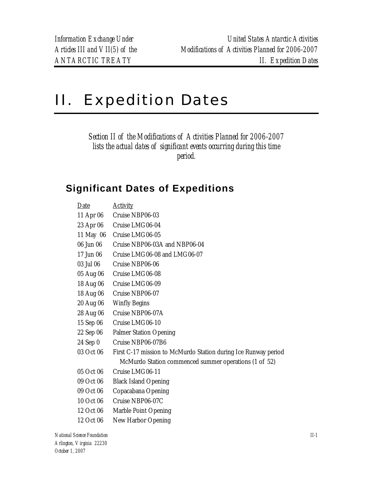## II. Expedition Dates

*Section II of the Modifications of Activities Planned for 2006-2007 lists the actual dates of significant events occurring during this time period.* 

## **Significant Dates of Expeditions**

| Date      | <b>Activity</b>                                                |
|-----------|----------------------------------------------------------------|
| 11 Apr 06 | Cruise NBP06-03                                                |
| 23 Apr 06 | Cruise LMG06-04                                                |
| 11 May 06 | Cruise LMG06-05                                                |
| 06 Jun 06 | Cruise NBP06-03A and NBP06-04                                  |
| 17 Jun 06 | Cruise LMG06-08 and LMG06-07                                   |
| 03 Jul 06 | Cruise NBP06-06                                                |
| 05 Aug 06 | Cruise LMG06-08                                                |
| 18 Aug 06 | Cruise LMG06-09                                                |
| 18 Aug 06 | Cruise NBP06-07                                                |
| 20 Aug 06 | <b>Winfly Begins</b>                                           |
| 28 Aug 06 | Cruise NBP06-07A                                               |
| 15 Sep 06 | Cruise LMG06-10                                                |
| 22 Sep 06 | <b>Palmer Station Opening</b>                                  |
| 24 Sep 0  | Cruise NBP06-07B6                                              |
| 03 Oct 06 | First C-17 mission to McMurdo Station during Ice Runway period |
|           | McMurdo Station commenced summer operations (1 of 52)          |
| 05 Oct 06 | Cruise LMG06-11                                                |
| 09 Oct 06 | <b>Black Island Opening</b>                                    |
| 09 Oct 06 | Copacabana Opening                                             |
| 10 Oct 06 | Cruise NBP06-07C                                               |
| 12 Oct 06 | Marble Point Opening                                           |
| 12 Oct 06 | New Harbor Opening                                             |

*National Science Foundation II-1 Arlington, Virginia 22230 October 1, 2007*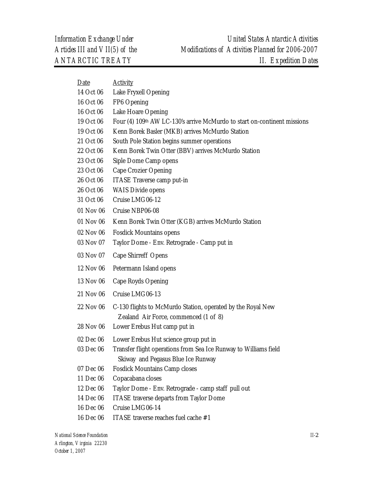| Date      | <b>Activity</b>                                                          |
|-----------|--------------------------------------------------------------------------|
| 14 Oct 06 | Lake Fryxell Opening                                                     |
| 16 Oct 06 | FP6 Opening                                                              |
| 16 Oct 06 | Lake Hoare Opening                                                       |
| 19 Oct 06 | Four (4) 109th AW LC-130's arrive McMurdo to start on-continent missions |
| 19 Oct 06 | Kenn Borek Basler (MKB) arrives McMurdo Station                          |
| 21 Oct 06 | South Pole Station begins summer operations                              |
| 22 Oct 06 | Kenn Borek Twin Otter (BBV) arrives McMurdo Station                      |
| 23 Oct 06 | Siple Dome Camp opens                                                    |
| 23 Oct 06 | <b>Cape Crozier Opening</b>                                              |
| 26 Oct 06 | ITASE Traverse camp put-in                                               |
| 26 Oct 06 | <b>WAIS Divide opens</b>                                                 |
| 31 Oct 06 | Cruise LMG06-12                                                          |
| 01 Nov 06 | Cruise NBP06-08                                                          |
| 01 Nov 06 | Kenn Borek Twin Otter (KGB) arrives McMurdo Station                      |
| 02 Nov 06 | <b>Fosdick Mountains opens</b>                                           |
| 03 Nov 07 | Taylor Dome - Env. Retrograde - Camp put in                              |
| 03 Nov 07 | Cape Shirreff Opens                                                      |
| 12 Nov 06 | Petermann Island opens                                                   |
| 13 Nov 06 | Cape Royds Opening                                                       |
| 21 Nov 06 | Cruise LMG06-13                                                          |
| 22 Nov 06 | C-130 flights to McMurdo Station, operated by the Royal New              |
|           | Zealand Air Force, commenced (1 of 8)                                    |
| 28 Nov 06 | Lower Erebus Hut camp put in                                             |
| 02 Dec 06 | Lower Erebus Hut science group put in                                    |
| 03 Dec 06 | Transfer flight operations from Sea Ice Runway to Williams field         |
|           | Skiway and Pegasus Blue Ice Runway                                       |
| 07 Dec 06 | <b>Fosdick Mountains Camp closes</b>                                     |
| 11 Dec 06 | Copacabana closes                                                        |
| 12 Dec 06 | Taylor Dome - Env. Retrograde - camp staff pull out                      |
| 14 Dec 06 | <b>ITASE</b> traverse departs from Taylor Dome                           |
| 16 Dec 06 | Cruise LMG06-14                                                          |
| 16 Dec 06 | ITASE traverse reaches fuel cache #1                                     |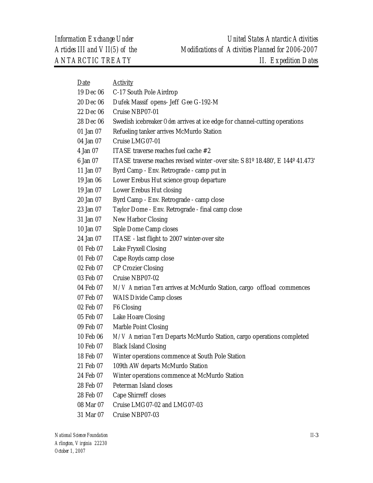| Date      | <b>Activity</b>                                                                 |
|-----------|---------------------------------------------------------------------------------|
| 19 Dec 06 | C-17 South Pole Airdrop                                                         |
| 20 Dec 06 | Dufek Massif opens- Jeff Gee G-192-M                                            |
| 22 Dec 06 | Cruise NBP07-01                                                                 |
| 28 Dec 06 | Swedish icebreaker Oden arrives at ice edge for channel-cutting operations      |
| 01 Jan 07 | Refueling tanker arrives McMurdo Station                                        |
| 04 Jan 07 | Cruise LMG07-01                                                                 |
| 4 Jan 07  | ITASE traverse reaches fuel cache #2                                            |
| 6 Jan 07  | ITASE traverse reaches revised winter -over site: S 81º 18.480', E 144º 41.473' |
| 11 Jan 07 | Byrd Camp - Env. Retrograde - camp put in                                       |
| 19 Jan 06 | Lower Erebus Hut science group departure                                        |
| 19 Jan 07 | Lower Erebus Hut closing                                                        |
| 20 Jan 07 | Byrd Camp - Env. Retrograde - camp close                                        |
| 23 Jan 07 | Taylor Dome - Env. Retrograde - final camp close                                |
| 31 Jan 07 | New Harbor Closing                                                              |
| 10 Jan 07 | Siple Dome Camp closes                                                          |
| 24 Jan 07 | ITASE - last flight to 2007 winter-over site                                    |
| 01 Feb 07 | Lake Fryxell Closing                                                            |
| 01 Feb 07 | Cape Royds camp close                                                           |
| 02 Feb 07 | <b>CP Crozier Closing</b>                                                       |
| 03 Feb 07 | Cruise NBP07-02                                                                 |
| 04 Feb 07 | M/V American Tern arrives at McMurdo Station, cargo offload commences           |
| 07 Feb 07 | <b>WAIS Divide Camp closes</b>                                                  |
| 02 Feb 07 | F6 Closing                                                                      |
| 05 Feb 07 | Lake Hoare Closing                                                              |
| 09 Feb 07 | Marble Point Closing                                                            |
| 10 Feb 06 | M/V American Tern Departs McMurdo Station, cargo operations completed           |
| 10 Feb 07 | <b>Black Island Closing</b>                                                     |
| 18 Feb 07 | Winter operations commence at South Pole Station                                |
| 21 Feb 07 | 109th AW departs McMurdo Station                                                |
| 24 Feb 07 | Winter operations commence at McMurdo Station                                   |
| 28 Feb 07 | Peterman Island closes                                                          |
| 28 Feb 07 | Cape Shirreff closes                                                            |
| 08 Mar 07 | Cruise LMG07-02 and LMG07-03                                                    |
|           |                                                                                 |

31 Mar 07 Cruise NBP07-03

*National Science Foundation Arlington, Virginia 22230 October 1, 2007*